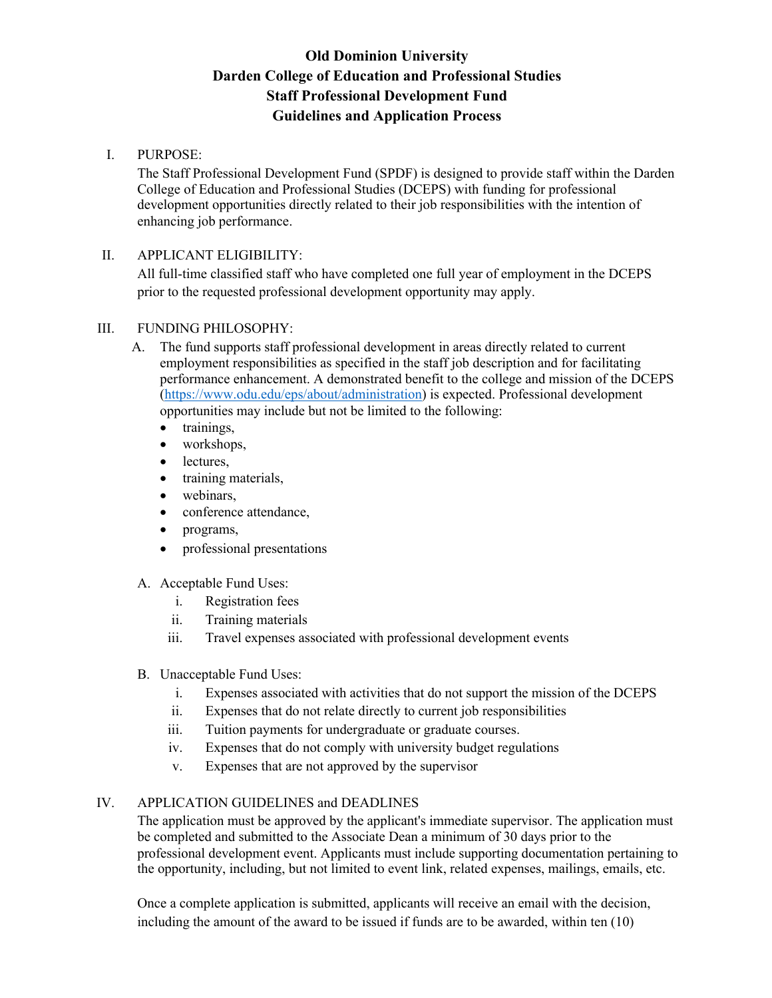# **Old Dominion University Darden College of Education and Professional Studies Staff Professional Development Fund Guidelines and Application Process**

### I. PURPOSE:

The Staff Professional Development Fund (SPDF) is designed to provide staff within the Darden College of Education and Professional Studies (DCEPS) with funding for professional development opportunities directly related to their job responsibilities with the intention of enhancing job performance.

### II. APPLICANT ELIGIBILITY:

All full-time classified staff who have completed one full year of employment in the DCEPS prior to the requested professional development opportunity may apply.

### III. FUNDING PHILOSOPHY:

- A. The fund supports staff professional development in areas directly related to current employment responsibilities as specified in the staff job description and for facilitating performance enhancement. A demonstrated benefit to the college and mission of the DCEPS (https://www.odu.edu/eps/about/administration) is expected. Professional development opportunities may include but not be limited to the following:
	- trainings,
	- workshops,
	- lectures,
	- training materials,
	- webinars,
	- conference attendance,
	- programs,
	- professional presentations
- A. Acceptable Fund Uses:
	- i. Registration fees
	- ii. Training materials
	- iii. Travel expenses associated with professional development events
- B. Unacceptable Fund Uses:
	- i. Expenses associated with activities that do not support the mission of the DCEPS
	- ii. Expenses that do not relate directly to current job responsibilities
	- iii. Tuition payments for undergraduate or graduate courses.
	- iv. Expenses that do not comply with university budget regulations
	- v. Expenses that are not approved by the supervisor

## IV. APPLICATION GUIDELINES and DEADLINES

The application must be approved by the applicant's immediate supervisor. The application must be completed and submitted to the Associate Dean a minimum of 30 days prior to the professional development event. Applicants must include supporting documentation pertaining to the opportunity, including, but not limited to event link, related expenses, mailings, emails, etc.

Once a complete application is submitted, applicants will receive an email with the decision, including the amount of the award to be issued if funds are to be awarded, within ten (10)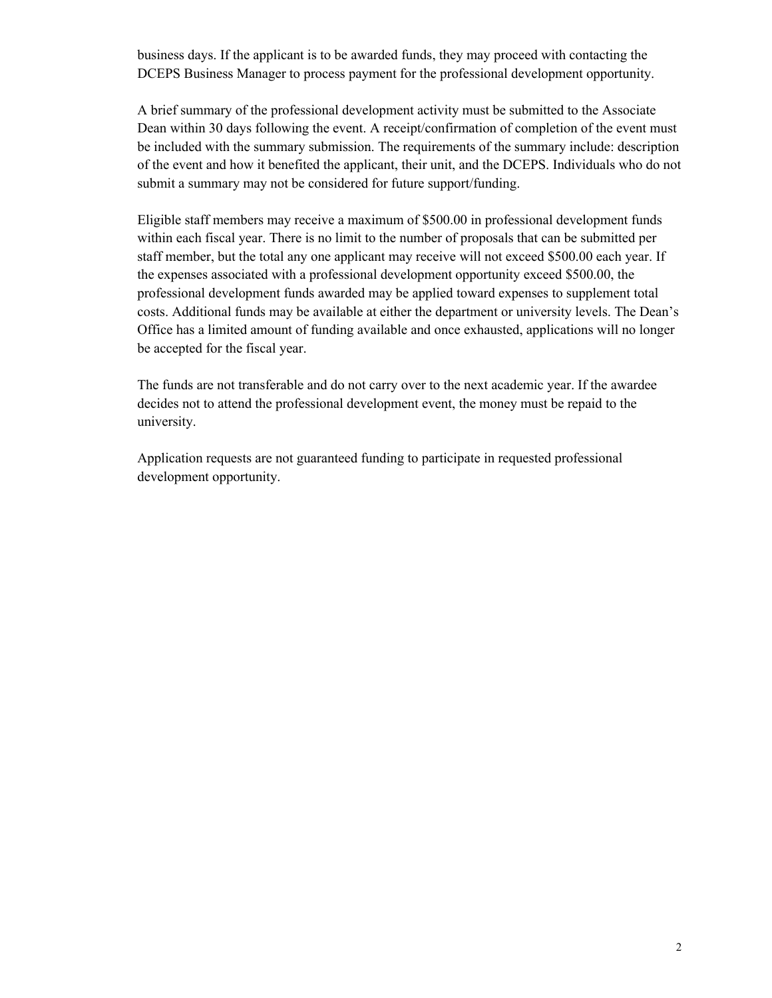business days. If the applicant is to be awarded funds, they may proceed with contacting the DCEPS Business Manager to process payment for the professional development opportunity.

A brief summary of the professional development activity must be submitted to the Associate Dean within 30 days following the event. A receipt/confirmation of completion of the event must be included with the summary submission. The requirements of the summary include: description of the event and how it benefited the applicant, their unit, and the DCEPS. Individuals who do not submit a summary may not be considered for future support/funding.

Eligible staff members may receive a maximum of \$500.00 in professional development funds within each fiscal year. There is no limit to the number of proposals that can be submitted per staff member, but the total any one applicant may receive will not exceed \$500.00 each year. If the expenses associated with a professional development opportunity exceed \$500.00, the professional development funds awarded may be applied toward expenses to supplement total costs. Additional funds may be available at either the department or university levels. The Dean's Office has a limited amount of funding available and once exhausted, applications will no longer be accepted for the fiscal year.

The funds are not transferable and do not carry over to the next academic year. If the awardee decides not to attend the professional development event, the money must be repaid to the university.

Application requests are not guaranteed funding to participate in requested professional development opportunity.